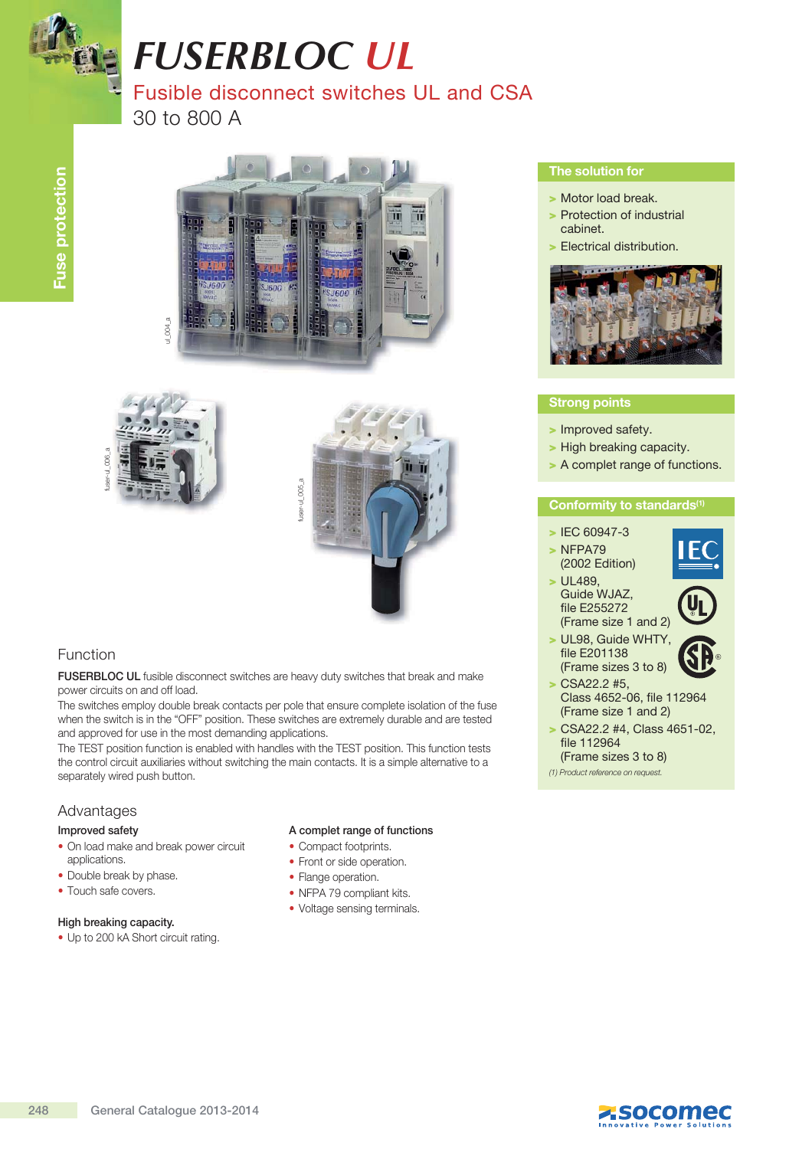

# *FUSERBLOC UL* Fusible disconnect switches UL and CSA 30 to 800 A







## Function

FUSERBLOC UL fusible disconnect switches are heavy duty switches that break and make power circuits on and off load.

The switches employ double break contacts per pole that ensure complete isolation of the fuse when the switch is in the "OFF" position. These switches are extremely durable and are tested and approved for use in the most demanding applications.

The TEST position function is enabled with handles with the TEST position. This function tests the control circuit auxiliaries without switching the main contacts. It is a simple alternative to a separately wired push button.

## Advantages

#### Improved safety

- On load make and break power circuit applications.
- Double break by phase.
- Touch safe covers.

#### High breaking capacity.

• Up to 200 kA Short circuit rating.

#### A complet range of functions

- Compact footprints.
- Front or side operation.
- Flange operation.
- NFPA 79 compliant kits.
- Voltage sensing terminals.

### The solution for

- > Motor load break.
- > Protection of industrial cabinet.
- > Electrical distribution.



### Strong points

- > Improved safety.
- > High breaking capacity.
- > A complet range of functions.

### Conformity to standards<sup>(1)</sup>

- > IEC 60947-3
- > NFPA79 (2002 Edition)
- > UL489, Guide WJAZ, file E255272 (Frame size 1 and 2)



- 
- > UL98, Guide WHTY, file E201138 (Frame sizes 3 to 8)
- > CSA22.2 #5, Class 4652-06, file 112964 (Frame size 1 and 2)
- $>$  CSA22.2 #4, Class 4651-02, file 112964 (Frame sizes 3 to 8)
- (1) Product reference on request.

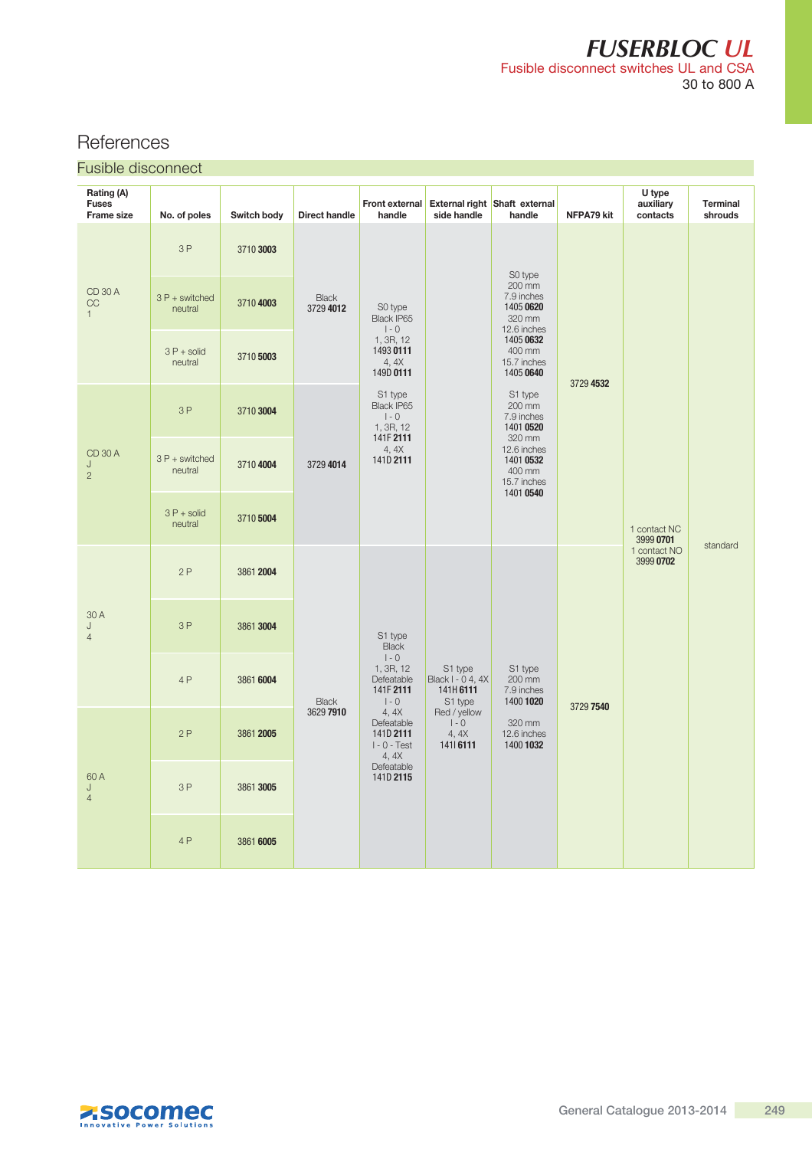# *FUSERBLOC UL* Fusible disconnect switches UL and CSA 30 to 800 A

# **References**

| <b>Fusible disconnect</b> |  |  |
|---------------------------|--|--|
|                           |  |  |

| Rating (A)<br><b>Fuses</b><br><b>Frame size</b> | No. of poles              | Switch body | <b>Direct handle</b>      | Front external<br>handle                                                                                                                                                        | side handle                                                                                          | External right Shaft external<br>handle                                                                                  | NFPA79 kit | U type<br>auxiliary<br>contacts                        | <b>Terminal</b><br>shrouds |
|-------------------------------------------------|---------------------------|-------------|---------------------------|---------------------------------------------------------------------------------------------------------------------------------------------------------------------------------|------------------------------------------------------------------------------------------------------|--------------------------------------------------------------------------------------------------------------------------|------------|--------------------------------------------------------|----------------------------|
| <b>CD 30 A</b><br>CC<br>$\mathbf{1}$            | 3P                        | 3710 3003   | <b>Black</b><br>3729 4012 | S0 type<br>Black IP65<br>$\vert$ - 0<br>1, 3R, 12<br>1493 0111<br>4, 4X<br>149D 0111<br>S1 type<br>Black IP65<br>$I - 0$<br>1, 3R, 12<br>141F 2111<br>4,4X<br>141D 2111         |                                                                                                      | S0 type<br>200 mm<br>7.9 inches<br>1405 0620<br>320 mm<br>12.6 inches<br>1405 0632<br>400 mm<br>15.7 inches<br>1405 0640 | 3729 4532  | 1 contact NC<br>3999 0701<br>1 contact NO<br>3999 0702 |                            |
|                                                 | 3 P + switched<br>neutral | 3710 4003   |                           |                                                                                                                                                                                 |                                                                                                      |                                                                                                                          |            |                                                        |                            |
|                                                 | $3P + solid$<br>neutral   | 3710 5003   |                           |                                                                                                                                                                                 |                                                                                                      |                                                                                                                          |            |                                                        |                            |
| <b>CD 30 A</b><br>J<br>$\overline{2}$           | 3P                        | 3710 3004   | 3729 4014                 |                                                                                                                                                                                 |                                                                                                      | S1 type<br>200 mm<br>7.9 inches<br>1401 0520                                                                             |            |                                                        |                            |
|                                                 | 3 P + switched<br>neutral | 3710 4004   |                           |                                                                                                                                                                                 |                                                                                                      | 320 mm<br>12.6 inches<br>1401 0532<br>400 mm<br>15.7 inches<br>1401 0540                                                 |            |                                                        |                            |
|                                                 | $3P + solid$<br>neutral   | 3710 5004   |                           |                                                                                                                                                                                 |                                                                                                      |                                                                                                                          |            |                                                        | standard                   |
| 30 A<br>J<br>$\overline{4}$                     | 2P                        | 3861 2004   | <b>Black</b><br>3629 7910 | S1 type<br><b>Black</b><br>$I - 0$<br>1, 3R, 12<br>Defeatable<br>141F 2111<br>$I - 0$<br>4, 4X<br>Defeatable<br>141D 2111<br>$I - 0 - Test$<br>4, 4X<br>Defeatable<br>141D 2115 | S1 type<br>Black I - 0 4, 4X<br>141H 6111<br>S1 type<br>Red / yellow<br>$I - 0$<br>4, 4X<br>141 6111 | S1 type<br>200 mm<br>7.9 inches<br>1400 1020<br>320 mm<br>12.6 inches<br>1400 1032                                       | 3729 7540  |                                                        |                            |
|                                                 | 3P                        | 3861 3004   |                           |                                                                                                                                                                                 |                                                                                                      |                                                                                                                          |            |                                                        |                            |
|                                                 | 4P                        | 3861 6004   |                           |                                                                                                                                                                                 |                                                                                                      |                                                                                                                          |            |                                                        |                            |
| 60 A<br>J<br>$\overline{4}$                     | 2P                        | 3861 2005   |                           |                                                                                                                                                                                 |                                                                                                      |                                                                                                                          |            |                                                        |                            |
|                                                 | 3P                        | 3861 3005   |                           |                                                                                                                                                                                 |                                                                                                      |                                                                                                                          |            |                                                        |                            |
|                                                 | 4 P                       | 3861 6005   |                           |                                                                                                                                                                                 |                                                                                                      |                                                                                                                          |            |                                                        |                            |